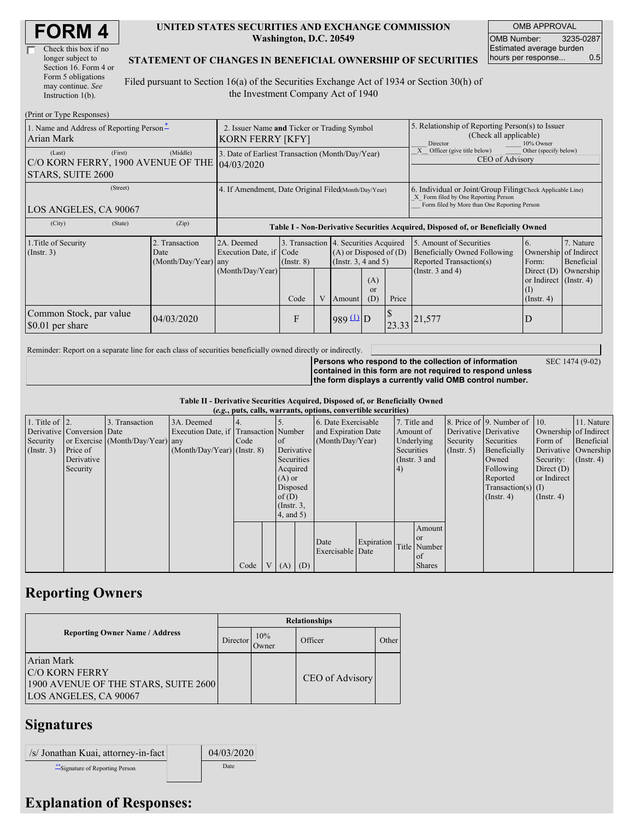| <b>FORM4</b> |
|--------------|
|--------------|

| Check this box if no  |
|-----------------------|
| longer subject to     |
| Section 16. Form 4 or |
| Form 5 obligations    |
| may continue. See     |
| Instruction 1(b).     |

#### **UNITED STATES SECURITIES AND EXCHANGE COMMISSION Washington, D.C. 20549**

OMB APPROVAL OMB Number: 3235-0287 Estimated average burden hours per response... 0.5

SEC 1474 (9-02)

#### **STATEMENT OF CHANGES IN BENEFICIAL OWNERSHIP OF SECURITIES**

Filed pursuant to Section 16(a) of the Securities Exchange Act of 1934 or Section 30(h) of the Investment Company Act of 1940

| (Print or Type Responses)                                                    |                                                                 |                                                                                  |                                                                  |   |                                                                  |                             |                                                                                                                                                    |                                                                                                             |                                                                                                    |                                                     |  |
|------------------------------------------------------------------------------|-----------------------------------------------------------------|----------------------------------------------------------------------------------|------------------------------------------------------------------|---|------------------------------------------------------------------|-----------------------------|----------------------------------------------------------------------------------------------------------------------------------------------------|-------------------------------------------------------------------------------------------------------------|----------------------------------------------------------------------------------------------------|-----------------------------------------------------|--|
| 1. Name and Address of Reporting Person-<br>Arian Mark                       | 2. Issuer Name and Ticker or Trading Symbol<br>KORN FERRY [KFY] |                                                                                  |                                                                  |   |                                                                  |                             | 5. Relationship of Reporting Person(s) to Issuer<br>(Check all applicable)<br>10% Owner<br>Director                                                |                                                                                                             |                                                                                                    |                                                     |  |
| (First)<br>(Last)<br>C/O KORN FERRY, 1900 AVENUE OF THE<br>STARS, SUITE 2600 | 3. Date of Earliest Transaction (Month/Day/Year)<br>104/03/2020 |                                                                                  |                                                                  |   |                                                                  |                             | Officer (give title below)<br>Other (specify below)<br>CEO of Advisory                                                                             |                                                                                                             |                                                                                                    |                                                     |  |
| (Street)<br>LOS ANGELES, CA 90067                                            | 4. If Amendment, Date Original Filed(Month/Day/Year)            |                                                                                  |                                                                  |   |                                                                  |                             | 6. Individual or Joint/Group Filing Check Applicable Line)<br>X Form filed by One Reporting Person<br>Form filed by More than One Reporting Person |                                                                                                             |                                                                                                    |                                                     |  |
| (City)<br>(State)                                                            | (Zip)                                                           | Table I - Non-Derivative Securities Acquired, Disposed of, or Beneficially Owned |                                                                  |   |                                                                  |                             |                                                                                                                                                    |                                                                                                             |                                                                                                    |                                                     |  |
| 1. Title of Security<br>$($ Instr. 3 $)$                                     | 2. Transaction<br>Date<br>(Month/Day/Year) any                  | 2A. Deemed<br>Execution Date, if Code<br>(Month/Day/Year)                        | 3. Transaction 4. Securities Acquired<br>$($ Instr. $8)$<br>Code | V | $(A)$ or Disposed of $(D)$<br>(Instr. $3, 4$ and $5$ )<br>Amount | (A)<br><sub>or</sub><br>(D) | Price                                                                                                                                              | 5. Amount of Securities<br>Beneficially Owned Following<br>Reported Transaction(s)<br>(Instr. $3$ and $4$ ) | 6.<br>Ownership<br>Form:<br>Direct $(D)$<br>or Indirect (Instr. 4)<br>$\rm(I)$<br>$($ Instr. 4 $)$ | 7. Nature<br>of Indirect<br>Beneficial<br>Ownership |  |
| Common Stock, par value<br>04/03/2020<br>\$0.01 per share                    |                                                                 |                                                                                  | F                                                                |   | $989 \text{ 1}$ D                                                |                             |                                                                                                                                                    | $23.33$ <sup>21,577</sup>                                                                                   | D                                                                                                  |                                                     |  |

Reminder: Report on a separate line for each class of securities beneficially owned directly or indirectly.

**Persons who respond to the collection of information contained in this form are not required to respond unless the form displays a currently valid OMB control number.**

**Table II - Derivative Securities Acquired, Disposed of, or Beneficially Owned**

| (e.g., puts, calls, warrants, options, convertible securities) |                            |                                  |                                       |      |  |                  |  |                     |                                |               |               |                       |                              |                       |                      |
|----------------------------------------------------------------|----------------------------|----------------------------------|---------------------------------------|------|--|------------------|--|---------------------|--------------------------------|---------------|---------------|-----------------------|------------------------------|-----------------------|----------------------|
| 1. Title of $\vert$ 2.                                         |                            | 3. Transaction                   | 3A. Deemed                            |      |  |                  |  | 6. Date Exercisable |                                |               | 7. Title and  |                       | 8. Price of 9. Number of 10. |                       | 11. Nature           |
|                                                                | Derivative Conversion Date |                                  | Execution Date, if Transaction Number |      |  |                  |  | and Expiration Date |                                | Amount of     |               | Derivative Derivative |                              | Ownership of Indirect |                      |
| Security                                                       |                            | or Exercise (Month/Day/Year) any |                                       | Code |  | <sub>of</sub>    |  |                     | (Month/Day/Year)<br>Underlying |               | Security      | Securities            | Form of                      | Beneficial            |                      |
| $($ Instr. 3 $)$                                               | Price of                   |                                  | $(Month/Day/Year)$ (Instr. 8)         |      |  | Derivative       |  |                     |                                | Securities    |               | (Insert, 5)           | Beneficially                 |                       | Derivative Ownership |
|                                                                | Derivative                 |                                  |                                       |      |  | Securities       |  |                     |                                | (Instr. 3 and |               |                       | Owned                        | Security:             | $($ Instr. 4)        |
|                                                                | Security                   |                                  |                                       |      |  | Acquired         |  |                     |                                | (4)           |               |                       | Following                    | Direct $(D)$          |                      |
|                                                                |                            |                                  |                                       |      |  | $(A)$ or         |  |                     |                                |               |               |                       | Reported                     | or Indirect           |                      |
|                                                                |                            |                                  |                                       |      |  | Disposed         |  |                     |                                |               |               |                       | $Transaction(s)$ (I)         |                       |                      |
|                                                                |                            |                                  |                                       |      |  | of(D)            |  |                     |                                |               |               |                       | $($ Instr. 4 $)$             | $($ Instr. 4 $)$      |                      |
|                                                                |                            |                                  |                                       |      |  | $($ Instr. $3$ , |  |                     |                                |               |               |                       |                              |                       |                      |
|                                                                |                            |                                  |                                       |      |  | 4, and 5)        |  |                     |                                |               |               |                       |                              |                       |                      |
|                                                                |                            |                                  |                                       |      |  |                  |  |                     |                                |               | Amount        |                       |                              |                       |                      |
|                                                                |                            |                                  |                                       |      |  |                  |  |                     |                                |               | <sub>or</sub> |                       |                              |                       |                      |
|                                                                |                            |                                  |                                       |      |  |                  |  | Date                | Expiration                     |               | Title Number  |                       |                              |                       |                      |
|                                                                |                            |                                  |                                       |      |  |                  |  | Exercisable Date    |                                |               | of            |                       |                              |                       |                      |
|                                                                |                            |                                  |                                       | Code |  | $(A)$ $(D)$      |  |                     |                                |               | <b>Shares</b> |                       |                              |                       |                      |

## **Reporting Owners**

|                                                                                                      | <b>Relationships</b> |              |                 |       |  |  |  |  |  |
|------------------------------------------------------------------------------------------------------|----------------------|--------------|-----------------|-------|--|--|--|--|--|
| <b>Reporting Owner Name / Address</b>                                                                | Director             | 10%<br>Owner | Officer         | Other |  |  |  |  |  |
| Arian Mark<br><b>C/O KORN FERRY</b><br>1900 AVENUE OF THE STARS, SUITE 2600<br>LOS ANGELES, CA 90067 |                      |              | CEO of Advisory |       |  |  |  |  |  |

# **Signatures**

| /s/ Jonathan Kuai, attorney-in-fact | 04/03/2020 |
|-------------------------------------|------------|
| ** Signature of Reporting Person    | Date       |

## **Explanation of Responses:**